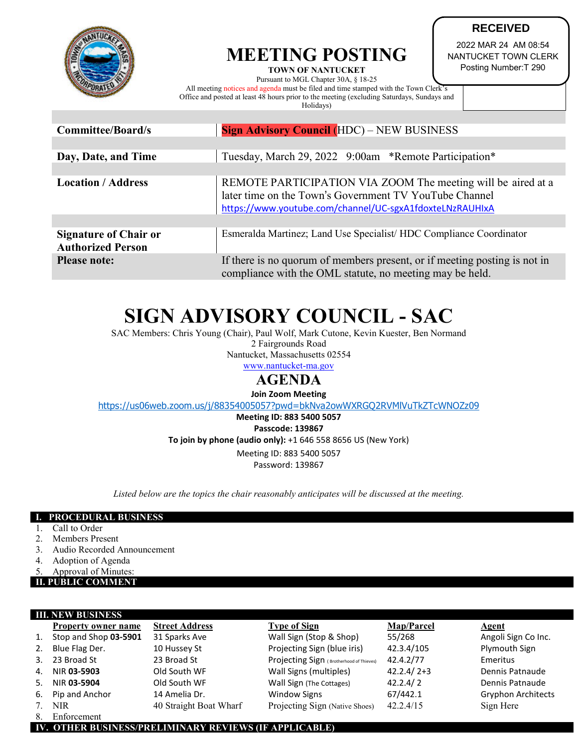

## **MEETING POSTING TOWN OF NANTUCKET**

**RECEIVED**

2022 MAR 24 AM 08:54 NANTUCKET TOWN CLERK Posting Number:T 290

Pursuant to MGL Chapter 30A, § 18-25 All meeting notices and agenda must be filed and time stamped with the Town Clerk's Office and posted at least 48 hours prior to the meeting (excluding Saturdays, Sundays and Holidays)

| <b>Committee/Board/s</b>                                 | <b>Sign Advisory Council (HDC) – NEW BUSINESS</b>                                                                                                                                  |  |  |  |
|----------------------------------------------------------|------------------------------------------------------------------------------------------------------------------------------------------------------------------------------------|--|--|--|
|                                                          |                                                                                                                                                                                    |  |  |  |
| Day, Date, and Time                                      | Tuesday, March 29, 2022 9:00am *Remote Participation*                                                                                                                              |  |  |  |
|                                                          |                                                                                                                                                                                    |  |  |  |
| <b>Location / Address</b>                                | REMOTE PARTICIPATION VIA ZOOM The meeting will be aired at a<br>later time on the Town's Government TV YouTube Channel<br>https://www.youtube.com/channel/UC-sgxA1fdoxteLNzRAUHIxA |  |  |  |
|                                                          |                                                                                                                                                                                    |  |  |  |
| <b>Signature of Chair or</b><br><b>Authorized Person</b> | Esmeralda Martinez; Land Use Specialist/HDC Compliance Coordinator                                                                                                                 |  |  |  |
| <b>Please note:</b>                                      | If there is no quorum of members present, or if meeting posting is not in<br>compliance with the OML statute, no meeting may be held.                                              |  |  |  |

# **SIGN ADVISORY COUNCIL - SAC**

SAC Members: Chris Young (Chair), Paul Wolf, Mark Cutone, Kevin Kuester, Ben Normand 2 Fairgrounds Road

Nantucket, Massachusetts 02554

[www.nantucket-ma.gov](http://www.nantucket-ma.gov/)

# **AGENDA**

**Join Zoom Meeting**

<https://us06web.zoom.us/j/88354005057?pwd=bkNva2owWXRGQ2RVMlVuTkZTcWNOZz09>

**Meeting ID: 883 5400 5057**

**Passcode: 139867**

**To join by phone (audio only):** +1 646 558 8656 US (New York)

Meeting ID: 883 5400 5057

Password: 139867

*Listed below are the topics the chair reasonably anticipates will be discussed at the meeting.*

#### **I. PROCEDURAL BUSINESS**

- 1. Call to Order
- 2. Members Present
- 3. Audio Recorded Announcement
- 4. Adoption of Agenda
- Approval of Minutes:

#### **II. PUBLIC COMMENT**

| <b>III. NEW BUSINESS</b> |                              |                        |                                          |                   |                           |  |  |
|--------------------------|------------------------------|------------------------|------------------------------------------|-------------------|---------------------------|--|--|
|                          | <b>Property owner name</b>   | <b>Street Address</b>  | <b>Type of Sign</b>                      | <b>Map/Parcel</b> | <b>Agent</b>              |  |  |
| 1.                       | Stop and Shop 03-5901        | 31 Sparks Ave          | Wall Sign (Stop & Shop)                  | 55/268            | Angoli Sign Co Inc.       |  |  |
| 2.                       | Blue Flag Der.               | 10 Hussey St           | Projecting Sign (blue iris)              | 42.3.4/105        | Plymouth Sign             |  |  |
| 3.                       | 23 Broad St                  | 23 Broad St            | Projecting Sign (Brotherhood of Thieves) | 42.4.2/77         | Emeritus                  |  |  |
| 4.                       | NIR 03-5903                  | Old South WF           | Wall Signs (multiples)                   | $42.2.4 / 2 + 3$  | Dennis Patnaude           |  |  |
| 5.                       | NIR 03-5904                  | Old South WF           | Wall Sign (The Cottages)                 | 42.2.4/2          | Dennis Patnaude           |  |  |
| 6.                       | Pip and Anchor               | 14 Amelia Dr.          | <b>Window Signs</b>                      | 67/442.1          | <b>Gryphon Architects</b> |  |  |
|                          | 7. NIR                       | 40 Straight Boat Wharf | Projecting Sign (Native Shoes)           | 42.2.4/15         | Sign Here                 |  |  |
|                          | $\circ$ $\mathbf{r}$ $\circ$ |                        |                                          |                   |                           |  |  |

**Enforcement** 

**IV. OTHER BUSINESS/PRELIMINARY REVIEWS (IF APPLICABLE)**